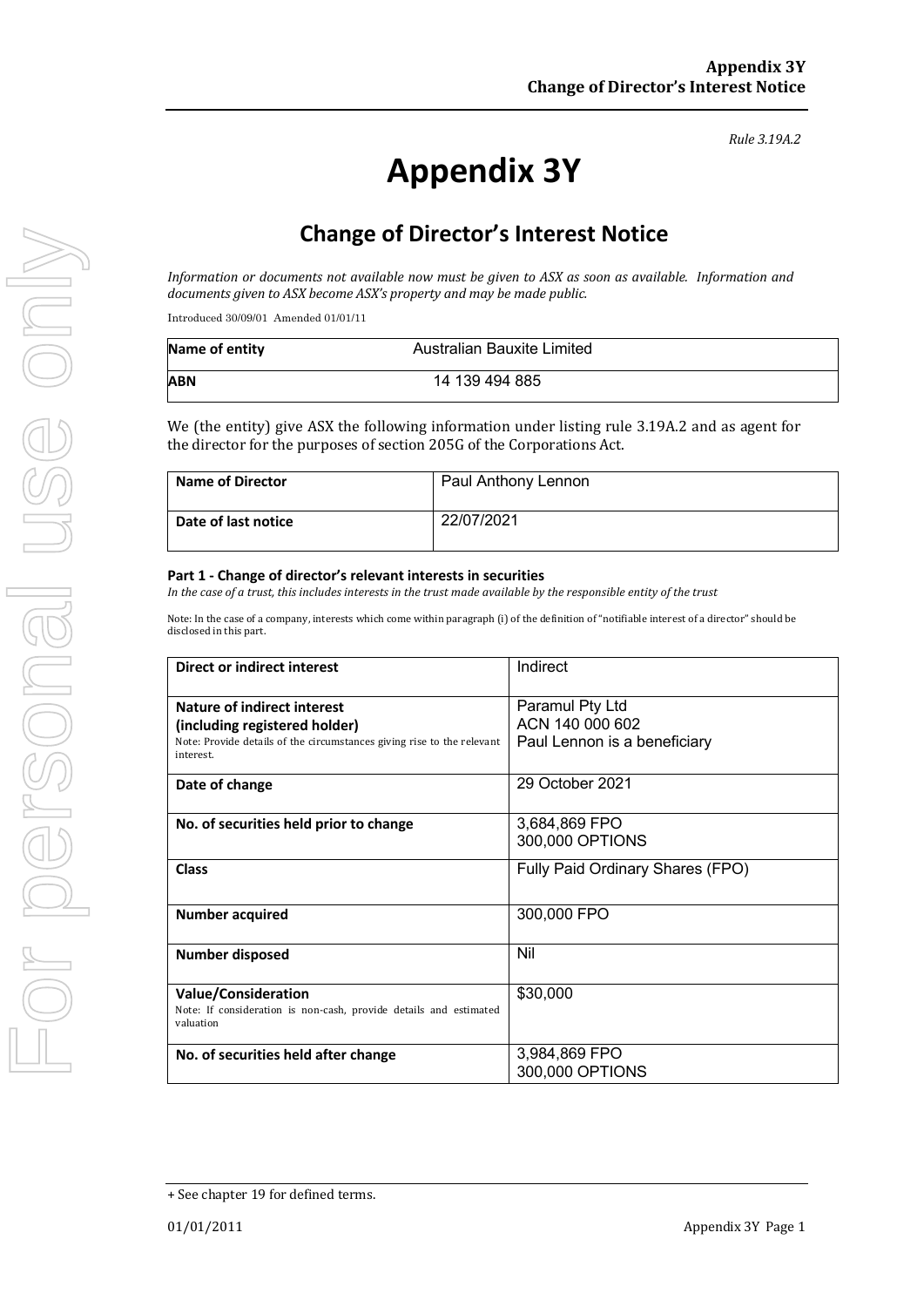#### *Rule 3.19A.2*

# **Appendix 3Y**

# **Change of Director's Interest Notice**

*Information* or documents not available now must be given to ASX as soon as available. Information and documents given to ASX become ASX's property and may be made public.

Introduced 30/09/01 Amended 01/01/11

| Name of entity | Australian Bauxite Limited |  |
|----------------|----------------------------|--|
| ABN            | 14 139 494 885             |  |

We (the entity) give ASX the following information under listing rule 3.19A.2 and as agent for the director for the purposes of section 205G of the Corporations Act.

| <b>Name of Director</b> | Paul Anthony Lennon |
|-------------------------|---------------------|
| Date of last notice     | 22/07/2021          |

#### **Part 1 - Change of director's relevant interests in securities**

*In* the case of a trust, this includes interests in the trust made available by the responsible entity of the trust

Note: In the case of a company, interests which come within paragraph (i) of the definition of "notifiable interest of a director" should be disclosed in this part.

| Direct or indirect interest                                                                                                                                | Indirect                                                           |  |
|------------------------------------------------------------------------------------------------------------------------------------------------------------|--------------------------------------------------------------------|--|
| <b>Nature of indirect interest</b><br>(including registered holder)<br>Note: Provide details of the circumstances giving rise to the relevant<br>interest. | Paramul Pty Ltd<br>ACN 140 000 602<br>Paul Lennon is a beneficiary |  |
| Date of change                                                                                                                                             | 29 October 2021                                                    |  |
| No. of securities held prior to change                                                                                                                     | 3,684,869 FPO<br>300,000 OPTIONS                                   |  |
| <b>Class</b>                                                                                                                                               | Fully Paid Ordinary Shares (FPO)                                   |  |
| <b>Number acquired</b>                                                                                                                                     | 300,000 FPO                                                        |  |
| <b>Number disposed</b>                                                                                                                                     | Nil                                                                |  |
| <b>Value/Consideration</b><br>Note: If consideration is non-cash, provide details and estimated<br>valuation                                               | \$30,000                                                           |  |
| No. of securities held after change                                                                                                                        | 3,984,869 FPO<br>300,000 OPTIONS                                   |  |

<sup>+</sup> See chapter 19 for defined terms.